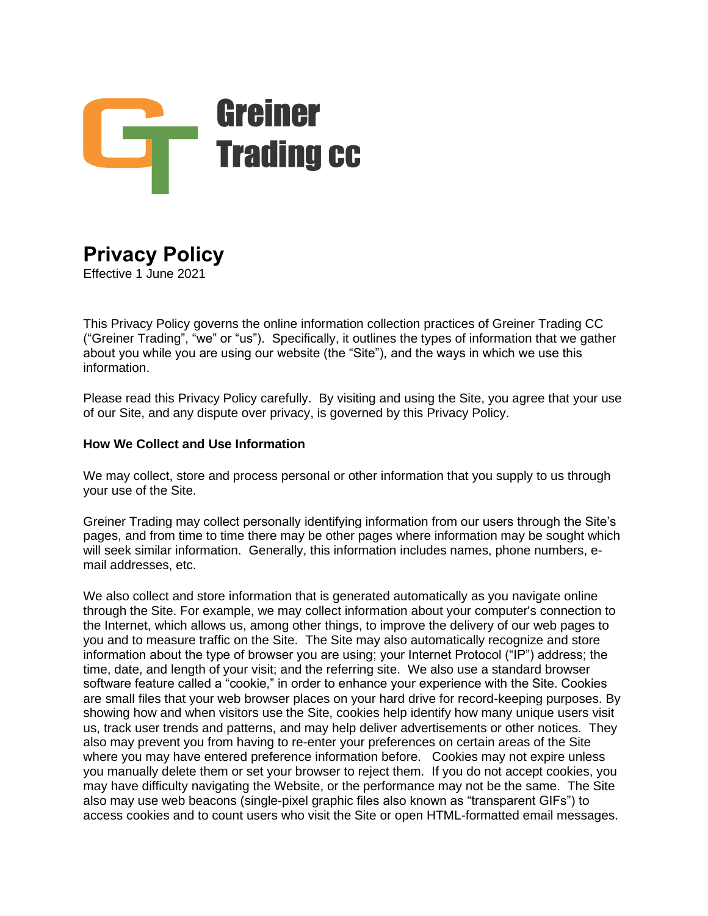

# **Privacy Policy**

Effective 1 June 2021

This Privacy Policy governs the online information collection practices of Greiner Trading CC ("Greiner Trading", "we" or "us"). Specifically, it outlines the types of information that we gather about you while you are using our website (the "Site"), and the ways in which we use this information.

Please read this Privacy Policy carefully. By visiting and using the Site, you agree that your use of our Site, and any dispute over privacy, is governed by this Privacy Policy.

#### **How We Collect and Use Information**

We may collect, store and process personal or other information that you supply to us through your use of the Site.

Greiner Trading may collect personally identifying information from our users through the Site's pages, and from time to time there may be other pages where information may be sought which will seek similar information. Generally, this information includes names, phone numbers, email addresses, etc.

We also collect and store information that is generated automatically as you navigate online through the Site. For example, we may collect information about your computer's connection to the Internet, which allows us, among other things, to improve the delivery of our web pages to you and to measure traffic on the Site. The Site may also automatically recognize and store information about the type of browser you are using; your Internet Protocol ("IP") address; the time, date, and length of your visit; and the referring site. We also use a standard browser software feature called a "cookie," in order to enhance your experience with the Site. Cookies are small files that your web browser places on your hard drive for record-keeping purposes. By showing how and when visitors use the Site, cookies help identify how many unique users visit us, track user trends and patterns, and may help deliver advertisements or other notices. They also may prevent you from having to re-enter your preferences on certain areas of the Site where you may have entered preference information before. Cookies may not expire unless you manually delete them or set your browser to reject them. If you do not accept cookies, you may have difficulty navigating the Website, or the performance may not be the same. The Site also may use web beacons (single-pixel graphic files also known as "transparent GIFs") to access cookies and to count users who visit the Site or open HTML-formatted email messages.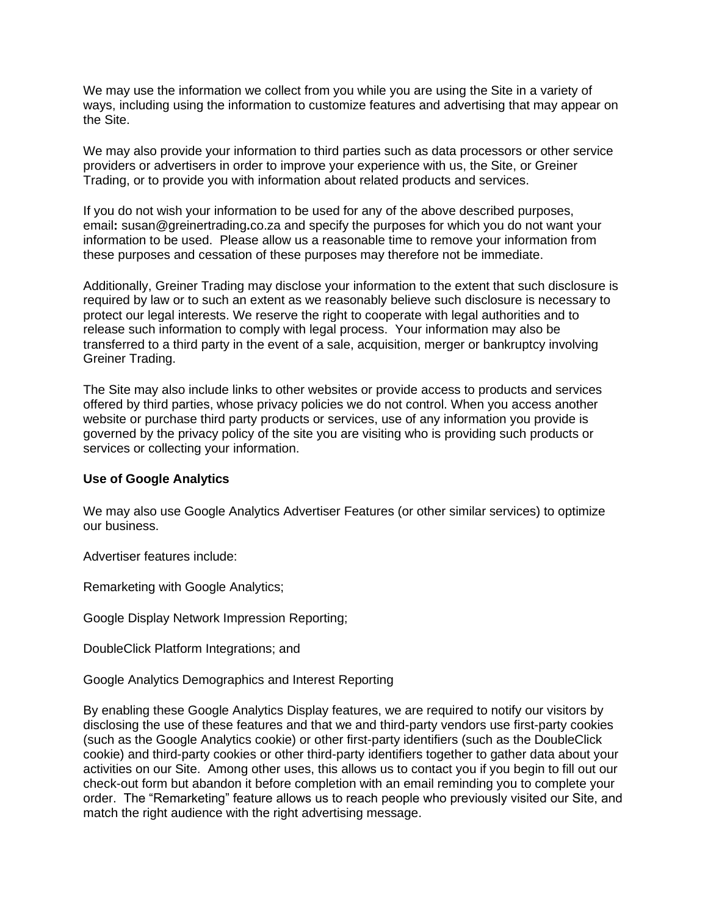We may use the information we collect from you while you are using the Site in a variety of ways, including using the information to customize features and advertising that may appear on the Site.

We may also provide your information to third parties such as data processors or other service providers or advertisers in order to improve your experience with us, the Site, or Greiner Trading, or to provide you with information about related products and services.

If you do not wish your information to be used for any of the above described purposes, email**:** susan@greinertrading**.**co.za and specify the purposes for which you do not want your information to be used. Please allow us a reasonable time to remove your information from these purposes and cessation of these purposes may therefore not be immediate.

Additionally, Greiner Trading may disclose your information to the extent that such disclosure is required by law or to such an extent as we reasonably believe such disclosure is necessary to protect our legal interests. We reserve the right to cooperate with legal authorities and to release such information to comply with legal process. Your information may also be transferred to a third party in the event of a sale, acquisition, merger or bankruptcy involving Greiner Trading.

The Site may also include links to other websites or provide access to products and services offered by third parties, whose privacy policies we do not control. When you access another website or purchase third party products or services, use of any information you provide is governed by the privacy policy of the site you are visiting who is providing such products or services or collecting your information.

#### **Use of Google Analytics**

We may also use Google Analytics Advertiser Features (or other similar services) to optimize our business.

Advertiser features include:

Remarketing with Google Analytics;

Google Display Network Impression Reporting;

DoubleClick Platform Integrations; and

Google Analytics Demographics and Interest Reporting

By enabling these Google Analytics Display features, we are required to notify our visitors by disclosing the use of these features and that we and third-party vendors use first-party cookies (such as the Google Analytics cookie) or other first-party identifiers (such as the DoubleClick cookie) and third-party cookies or other third-party identifiers together to gather data about your activities on our Site. Among other uses, this allows us to contact you if you begin to fill out our check-out form but abandon it before completion with an email reminding you to complete your order. The "Remarketing" feature allows us to reach people who previously visited our Site, and match the right audience with the right advertising message.